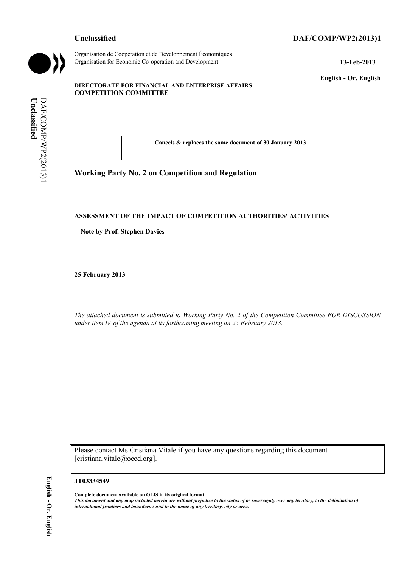# **Unclassified DAF/COMP/WP2(2013)1**



Organisation de Coopération et de Développement Économiques Organisation for Economic Co-operation and Development **13-Feb-2013** 

**English - Or. English** 

#### **DIRECTORATE FOR FINANCIAL AND ENTERPRISE AFFAIRS COMPETITION COMMITTEE**

Unclassified **Unclassified**  DAF/COMP/WP2(2013)I DAF/COMP/WP2(2013)1

**Cancels & replaces the same document of 30 January 2013** 

**Working Party No. 2 on Competition and Regulation** 

#### **ASSESSMENT OF THE IMPACT OF COMPETITION AUTHORITIES' ACTIVITIES**

**-- Note by Prof. Stephen Davies --** 

**25 February 2013** 

*The attached document is submitted to Working Party No. 2 of the Competition Committee FOR DISCUSSION under item IV of the agenda at its forthcoming meeting on 25 February 2013.* 

Please contact Ms Cristiana Vitale if you have any questions regarding this document [cristiana.vitale@oecd.org].

#### **JT03334549**

**Complete document available on OLIS in its original format** *This document and any map included herein are without prejudice to the status of or sovereignty over any territory, to the delimitation of international frontiers and boundaries and to the name of any territory, city or area.*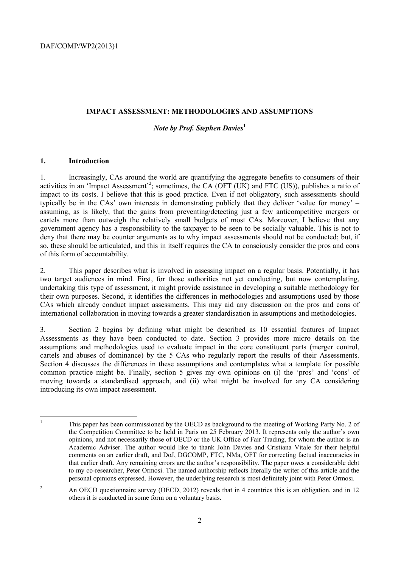#### **IMPACT ASSESSMENT: METHODOLOGIES AND ASSUMPTIONS**

## *Note by Prof. Stephen Davies***<sup>1</sup>**

## **1. Introduction**

1. Increasingly, CAs around the world are quantifying the aggregate benefits to consumers of their activities in an 'Impact Assessment'<sup>2</sup>; sometimes, the CA (OFT (UK) and FTC (US)), publishes a ratio of impact to its costs. I believe that this is good practice. Even if not obligatory, such assessments should typically be in the CAs' own interests in demonstrating publicly that they deliver 'value for money' – assuming, as is likely, that the gains from preventing/detecting just a few anticompetitive mergers or cartels more than outweigh the relatively small budgets of most CAs. Moreover, I believe that any government agency has a responsibility to the taxpayer to be seen to be socially valuable. This is not to deny that there may be counter arguments as to why impact assessments should not be conducted; but, if so, these should be articulated, and this in itself requires the CA to consciously consider the pros and cons of this form of accountability.

2. This paper describes what is involved in assessing impact on a regular basis. Potentially, it has two target audiences in mind. First, for those authorities not yet conducting, but now contemplating, undertaking this type of assessment, it might provide assistance in developing a suitable methodology for their own purposes. Second, it identifies the differences in methodologies and assumptions used by those CAs which already conduct impact assessments. This may aid any discussion on the pros and cons of international collaboration in moving towards a greater standardisation in assumptions and methodologies.

3. Section 2 begins by defining what might be described as 10 essential features of Impact Assessments as they have been conducted to date. Section 3 provides more micro details on the assumptions and methodologies used to evaluate impact in the core constituent parts (merger control, cartels and abuses of dominance) by the 5 CAs who regularly report the results of their Assessments. Section 4 discusses the differences in these assumptions and contemplates what a template for possible common practice might be. Finally, section 5 gives my own opinions on (i) the 'pros' and 'cons' of moving towards a standardised approach, and (ii) what might be involved for any CA considering introducing its own impact assessment.

 $\frac{1}{1}$  This paper has been commissioned by the OECD as background to the meeting of Working Party No. 2 of the Competition Committee to be held in Paris on 25 February 2013. It represents only the author's own opinions, and not necessarily those of OECD or the UK Office of Fair Trading, for whom the author is an Academic Adviser. The author would like to thank John Davies and Cristiana Vitale for their helpful comments on an earlier draft, and DoJ, DGCOMP, FTC, NMa, OFT for correcting factual inaccuracies in that earlier draft. Any remaining errors are the author's responsibility. The paper owes a considerable debt to my co-researcher, Peter Ormosi. The named authorship reflects literally the writer of this article and the personal opinions expressed. However, the underlying research is most definitely joint with Peter Ormosi.

<sup>2</sup> An OECD questionnaire survey (OECD, 2012) reveals that in 4 countries this is an obligation, and in 12 others it is conducted in some form on a voluntary basis.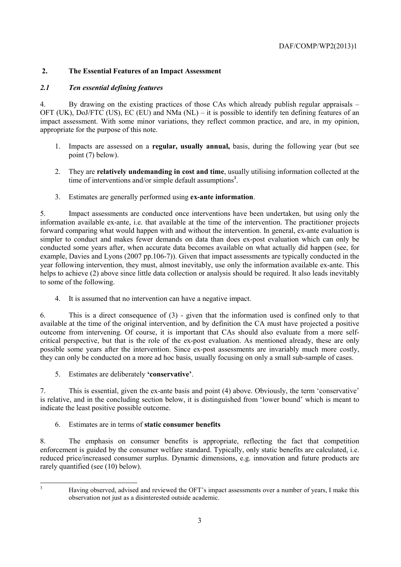# **2. The Essential Features of an Impact Assessment**

# *2.1 Ten essential defining features*

4. By drawing on the existing practices of those CAs which already publish regular appraisals – OFT (UK), DoJ/FTC (US), EC (EU) and NMa (NL) – it is possible to identify ten defining features of an impact assessment. With some minor variations, they reflect common practice, and are, in my opinion, appropriate for the purpose of this note.

- 1. Impacts are assessed on a **regular, usually annual,** basis, during the following year (but see point (7) below).
- 2. They are **relatively undemanding in cost and time**, usually utilising information collected at the time of interventions and/or simple default assumptions<sup>3</sup>.
- 3. Estimates are generally performed using **ex-ante information**.

5. Impact assessments are conducted once interventions have been undertaken, but using only the information available ex-ante, i.e. that available at the time of the intervention. The practitioner projects forward comparing what would happen with and without the intervention. In general, ex-ante evaluation is simpler to conduct and makes fewer demands on data than does ex-post evaluation which can only be conducted some years after, when accurate data becomes available on what actually did happen (see, for example, Davies and Lyons (2007 pp.106-7)). Given that impact assessments are typically conducted in the year following intervention, they must, almost inevitably, use only the information available ex-ante. This helps to achieve (2) above since little data collection or analysis should be required. It also leads inevitably to some of the following.

4. It is assumed that no intervention can have a negative impact.

6. This is a direct consequence of (3) - given that the information used is confined only to that available at the time of the original intervention, and by definition the CA must have projected a positive outcome from intervening. Of course, it is important that CAs should also evaluate from a more selfcritical perspective, but that is the role of the ex-post evaluation. As mentioned already, these are only possible some years after the intervention. Since ex-post assessments are invariably much more costly, they can only be conducted on a more ad hoc basis, usually focusing on only a small sub-sample of cases.

5. Estimates are deliberately **'conservative'**.

7. This is essential, given the ex-ante basis and point (4) above. Obviously, the term 'conservative' is relative, and in the concluding section below, it is distinguished from 'lower bound' which is meant to indicate the least positive possible outcome.

6. Estimates are in terms of **static consumer benefits**

8. The emphasis on consumer benefits is appropriate, reflecting the fact that competition enforcement is guided by the consumer welfare standard. Typically, only static benefits are calculated, i.e. reduced price/increased consumer surplus. Dynamic dimensions, e.g. innovation and future products are rarely quantified (see (10) below).

3

Having observed, advised and reviewed the OFT's impact assessments over a number of years, I make this observation not just as a disinterested outside academic.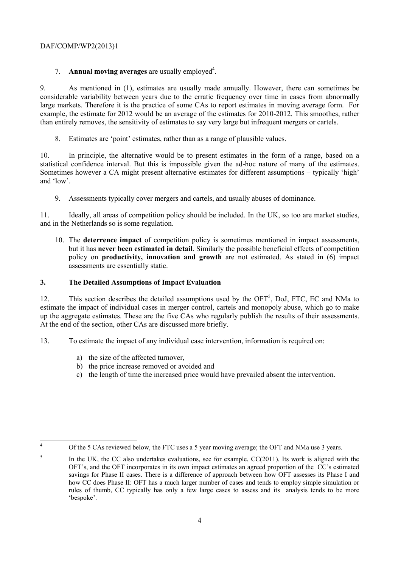## 7. **Annual moving averages** are usually employed<sup>4</sup>.

9. As mentioned in (1), estimates are usually made annually. However, there can sometimes be considerable variability between years due to the erratic frequency over time in cases from abnormally large markets. Therefore it is the practice of some CAs to report estimates in moving average form. For example, the estimate for 2012 would be an average of the estimates for 2010-2012. This smoothes, rather than entirely removes, the sensitivity of estimates to say very large but infrequent mergers or cartels.

8. Estimates are 'point' estimates, rather than as a range of plausible values.

10. In principle, the alternative would be to present estimates in the form of a range, based on a statistical confidence interval. But this is impossible given the ad-hoc nature of many of the estimates. Sometimes however a CA might present alternative estimates for different assumptions – typically 'high' and 'low'.

9. Assessments typically cover mergers and cartels, and usually abuses of dominance.

11. Ideally, all areas of competition policy should be included. In the UK, so too are market studies, and in the Netherlands so is some regulation.

10. The **deterrence impact** of competition policy is sometimes mentioned in impact assessments, but it has **never been estimated in detail**. Similarly the possible beneficial effects of competition policy on **productivity, innovation and growth** are not estimated. As stated in (6) impact assessments are essentially static.

## **3. The Detailed Assumptions of Impact Evaluation**

12. This section describes the detailed assumptions used by the  $\text{OFT}^5$ , DoJ, FTC, EC and NMa to estimate the impact of individual cases in merger control, cartels and monopoly abuse, which go to make up the aggregate estimates. These are the five CAs who regularly publish the results of their assessments. At the end of the section, other CAs are discussed more briefly.

13. To estimate the impact of any individual case intervention, information is required on:

- a) the size of the affected turnover,
- b) the price increase removed or avoided and
- c) the length of time the increased price would have prevailed absent the intervention.

 $\frac{1}{4}$ 

Of the 5 CAs reviewed below, the FTC uses a 5 year moving average; the OFT and NMa use 3 years.

<sup>5</sup> In the UK, the CC also undertakes evaluations, see for example, CC(2011). Its work is aligned with the OFT's, and the OFT incorporates in its own impact estimates an agreed proportion of the CC's estimated savings for Phase II cases. There is a difference of approach between how OFT assesses its Phase I and how CC does Phase II: OFT has a much larger number of cases and tends to employ simple simulation or rules of thumb, CC typically has only a few large cases to assess and its analysis tends to be more 'bespoke'.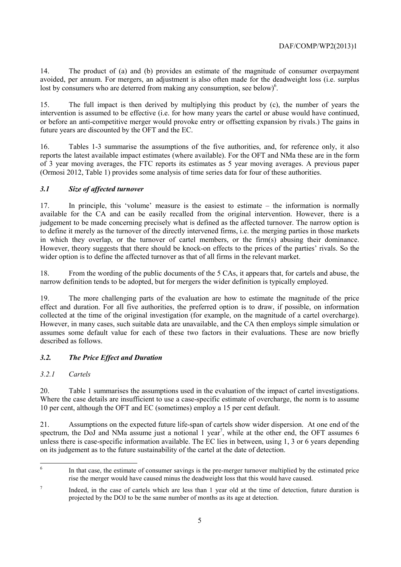14. The product of (a) and (b) provides an estimate of the magnitude of consumer overpayment avoided, per annum. For mergers, an adjustment is also often made for the deadweight loss (i.e. surplus lost by consumers who are deterred from making any consumption, see below)<sup>6</sup>.

15. The full impact is then derived by multiplying this product by (c), the number of years the intervention is assumed to be effective (i.e. for how many years the cartel or abuse would have continued, or before an anti-competitive merger would provoke entry or offsetting expansion by rivals.) The gains in future years are discounted by the OFT and the EC.

16. Tables 1-3 summarise the assumptions of the five authorities, and, for reference only, it also reports the latest available impact estimates (where available). For the OFT and NMa these are in the form of 3 year moving averages, the FTC reports its estimates as 5 year moving averages. A previous paper (Ormosi 2012, Table 1) provides some analysis of time series data for four of these authorities.

# *3.1 Size of affected turnover*

17. In principle, this 'volume' measure is the easiest to estimate – the information is normally available for the CA and can be easily recalled from the original intervention. However, there is a judgement to be made concerning precisely what is defined as the affected turnover. The narrow option is to define it merely as the turnover of the directly intervened firms, i.e. the merging parties in those markets in which they overlap, or the turnover of cartel members, or the firm(s) abusing their dominance. However, theory suggests that there should be knock-on effects to the prices of the parties' rivals. So the wider option is to define the affected turnover as that of all firms in the relevant market.

18. From the wording of the public documents of the 5 CAs, it appears that, for cartels and abuse, the narrow definition tends to be adopted, but for mergers the wider definition is typically employed.

19. The more challenging parts of the evaluation are how to estimate the magnitude of the price effect and duration. For all five authorities, the preferred option is to draw, if possible, on information collected at the time of the original investigation (for example, on the magnitude of a cartel overcharge). However, in many cases, such suitable data are unavailable, and the CA then employs simple simulation or assumes some default value for each of these two factors in their evaluations. These are now briefly described as follows.

# *3.2. The Price Effect and Duration*

# *3.2.1 Cartels*

20. Table 1 summarises the assumptions used in the evaluation of the impact of cartel investigations. Where the case details are insufficient to use a case-specific estimate of overcharge, the norm is to assume 10 per cent, although the OFT and EC (sometimes) employ a 15 per cent default.

21. Assumptions on the expected future life-span of cartels show wider dispersion. At one end of the spectrum, the DoJ and NMa assume just a notional  $1$  year<sup>7</sup>, while at the other end, the OFT assumes  $6$ unless there is case-specific information available. The EC lies in between, using 1, 3 or 6 years depending on its judgement as to the future sustainability of the cartel at the date of detection.

 6 In that case, the estimate of consumer savings is the pre-merger turnover multiplied by the estimated price rise the merger would have caused minus the deadweight loss that this would have caused.

<sup>7</sup> Indeed, in the case of cartels which are less than 1 year old at the time of detection, future duration is projected by the DOJ to be the same number of months as its age at detection.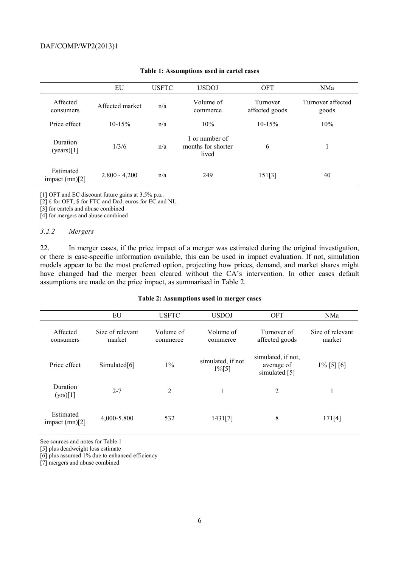|                               | EU              | <b>USFTC</b> | <b>USDOJ</b>                                  | <b>OFT</b>                 | NMa                        |
|-------------------------------|-----------------|--------------|-----------------------------------------------|----------------------------|----------------------------|
| Affected<br>consumers         | Affected market | n/a          | Volume of<br>commerce                         | Turnover<br>affected goods | Turnover affected<br>goods |
| Price effect                  | $10 - 15%$      | n/a          | 10%                                           | $10 - 15%$                 | 10%                        |
| Duration<br>(years) [1]       | 1/3/6           | n/a          | 1 or number of<br>months for shorter<br>lived | 6                          |                            |
| Estimated<br>impact $(mn)[2]$ | $2,800 - 4,200$ | n/a          | 249                                           | 151[3]                     | 40                         |

#### **Table 1: Assumptions used in cartel cases**

[1] OFT and EC discount future gains at 3.5% p.a..

[2] £ for OFT, \$ for FTC and DoJ, euros for EC and NL

[3] for cartels and abuse combined

[4] for mergers and abuse combined

#### *3.2.2 Mergers*

22. In merger cases, if the price impact of a merger was estimated during the original investigation, or there is case-specific information available, this can be used in impact evaluation. If not, simulation models appear to be the most preferred option, projecting how prices, demand, and market shares might have changed had the merger been cleared without the CA's intervention. In other cases default assumptions are made on the price impact, as summarised in Table 2.

#### **Table 2: Assumptions used in merger cases**

|                               | EU                         | <b>USFTC</b>          | <b>USDOJ</b>                  | <b>OFT</b>                                        | NMa                        |
|-------------------------------|----------------------------|-----------------------|-------------------------------|---------------------------------------------------|----------------------------|
| Affected<br>consumers         | Size of relevant<br>market | Volume of<br>commerce | Volume of<br>commerce         | Turnover of<br>affected goods                     | Size of relevant<br>market |
| Price effect                  | Simulated <sup>[6]</sup>   | $1\%$                 | simulated, if not<br>$1\%[5]$ | simulated, if not,<br>average of<br>simulated [5] | $1\%$ [5] [6]              |
| Duration<br>(yrs)[1]          | $2 - 7$                    | $\overline{2}$        | 1                             | 2                                                 |                            |
| Estimated<br>impact $(mn)[2]$ | 4,000-5.800                | 532                   | 1431[7]                       | 8                                                 | 171[4]                     |

See sources and notes for Table 1

[5] plus deadweight loss estimate

[6] plus assumed 1% due to enhanced efficiency

[7] mergers and abuse combined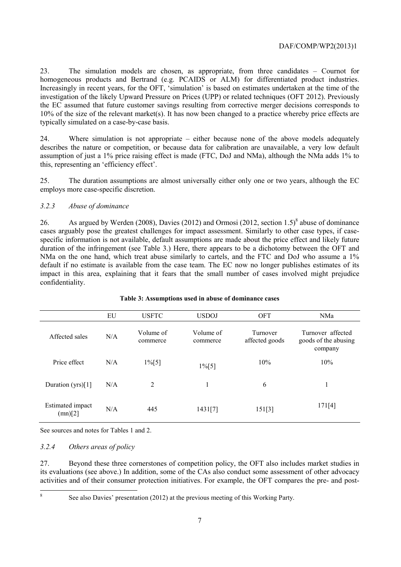23. The simulation models are chosen, as appropriate, from three candidates – Cournot for homogeneous products and Bertrand (e.g. PCAIDS or ALM) for differentiated product industries. Increasingly in recent years, for the OFT, 'simulation' is based on estimates undertaken at the time of the investigation of the likely Upward Pressure on Prices (UPP) or related techniques (OFT 2012). Previously the EC assumed that future customer savings resulting from corrective merger decisions corresponds to 10% of the size of the relevant market(s). It has now been changed to a practice whereby price effects are typically simulated on a case-by-case basis.

24. Where simulation is not appropriate – either because none of the above models adequately describes the nature or competition, or because data for calibration are unavailable, a very low default assumption of just a 1% price raising effect is made (FTC, DoJ and NMa), although the NMa adds 1% to this, representing an 'efficiency effect'.

25. The duration assumptions are almost universally either only one or two years, although the EC employs more case-specific discretion.

## *3.2.3 Abuse of dominance*

26. As argued by Werden (2008), Davies (2012) and Ormosi (2012, section 1.5)<sup>8</sup> abuse of dominance cases arguably pose the greatest challenges for impact assessment. Similarly to other case types, if casespecific information is not available, default assumptions are made about the price effect and likely future duration of the infringement (see Table 3.) Here, there appears to be a dichotomy between the OFT and NMa on the one hand, which treat abuse similarly to cartels, and the FTC and DoJ who assume a 1% default if no estimate is available from the case team. The EC now no longer publishes estimates of its impact in this area, explaining that it fears that the small number of cases involved might prejudice confidentiality.

|                             | EU  | <b>USFTC</b>          | <b>USDOJ</b>          | <b>OFT</b>                 | <b>NMa</b>                                           |
|-----------------------------|-----|-----------------------|-----------------------|----------------------------|------------------------------------------------------|
| Affected sales              | N/A | Volume of<br>commerce | Volume of<br>commerce | Turnover<br>affected goods | Turnover affected<br>goods of the abusing<br>company |
| Price effect                | N/A | $1\%[5]$              | $1\%[5]$              | 10%                        | 10%                                                  |
| Duration (yrs)[1]           | N/A | 2                     |                       | 6                          |                                                      |
| Estimated impact<br>(mn)[2] | N/A | 445                   | 1431[7]               | 151[3]                     | 171[4]                                               |

## **Table 3: Assumptions used in abuse of dominance cases**

See sources and notes for Tables 1 and 2.

## *3.2.4 Others areas of policy*

27. Beyond these three cornerstones of competition policy, the OFT also includes market studies in its evaluations (see above.) In addition, some of the CAs also conduct some assessment of other advocacy activities and of their consumer protection initiatives. For example, the OFT compares the pre- and post-

8

See also Davies' presentation (2012) at the previous meeting of this Working Party.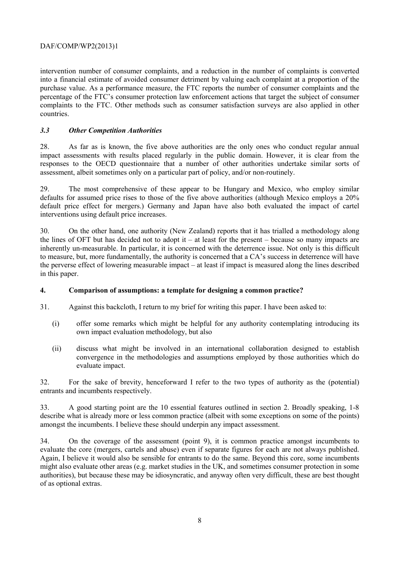intervention number of consumer complaints, and a reduction in the number of complaints is converted into a financial estimate of avoided consumer detriment by valuing each complaint at a proportion of the purchase value. As a performance measure, the FTC reports the number of consumer complaints and the percentage of the FTC's consumer protection law enforcement actions that target the subject of consumer complaints to the FTC. Other methods such as consumer satisfaction surveys are also applied in other countries.

## *3.3 Other Competition Authorities*

28. As far as is known, the five above authorities are the only ones who conduct regular annual impact assessments with results placed regularly in the public domain. However, it is clear from the responses to the OECD questionnaire that a number of other authorities undertake similar sorts of assessment, albeit sometimes only on a particular part of policy, and/or non-routinely.

29. The most comprehensive of these appear to be Hungary and Mexico, who employ similar defaults for assumed price rises to those of the five above authorities (although Mexico employs a 20% default price effect for mergers.) Germany and Japan have also both evaluated the impact of cartel interventions using default price increases.

30. On the other hand, one authority (New Zealand) reports that it has trialled a methodology along the lines of OFT but has decided not to adopt it – at least for the present – because so many impacts are inherently un-measurable. In particular, it is concerned with the deterrence issue. Not only is this difficult to measure, but, more fundamentally, the authority is concerned that a CA's success in deterrence will have the perverse effect of lowering measurable impact – at least if impact is measured along the lines described in this paper.

## **4. Comparison of assumptions: a template for designing a common practice?**

- 31. Against this backcloth, I return to my brief for writing this paper. I have been asked to:
	- (i) offer some remarks which might be helpful for any authority contemplating introducing its own impact evaluation methodology, but also
	- (ii) discuss what might be involved in an international collaboration designed to establish convergence in the methodologies and assumptions employed by those authorities which do evaluate impact.

32. For the sake of brevity, henceforward I refer to the two types of authority as the (potential) entrants and incumbents respectively.

33. A good starting point are the 10 essential features outlined in section 2. Broadly speaking, 1-8 describe what is already more or less common practice (albeit with some exceptions on some of the points) amongst the incumbents. I believe these should underpin any impact assessment.

34. On the coverage of the assessment (point 9), it is common practice amongst incumbents to evaluate the core (mergers, cartels and abuse) even if separate figures for each are not always published. Again, I believe it would also be sensible for entrants to do the same. Beyond this core, some incumbents might also evaluate other areas (e.g. market studies in the UK, and sometimes consumer protection in some authorities), but because these may be idiosyncratic, and anyway often very difficult, these are best thought of as optional extras.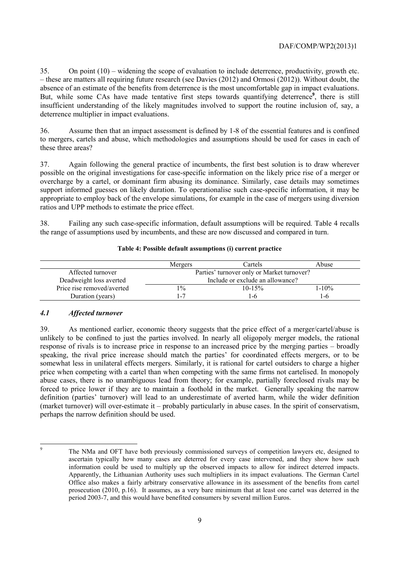35. On point (10) – widening the scope of evaluation to include deterrence, productivity, growth etc. – these are matters all requiring future research (see Davies (2012) and Ormosi (2012)). Without doubt, the absence of an estimate of the benefits from deterrence is the most uncomfortable gap in impact evaluations. But, while some CAs have made tentative first steps towards quantifying deterrence**<sup>9</sup>** , there is still insufficient understanding of the likely magnitudes involved to support the routine inclusion of, say, a deterrence multiplier in impact evaluations.

36. Assume then that an impact assessment is defined by 1-8 of the essential features and is confined to mergers, cartels and abuse, which methodologies and assumptions should be used for cases in each of these three areas?

37. Again following the general practice of incumbents, the first best solution is to draw wherever possible on the original investigations for case-specific information on the likely price rise of a merger or overcharge by a cartel, or dominant firm abusing its dominance. Similarly, case details may sometimes support informed guesses on likely duration. To operationalise such case-specific information, it may be appropriate to employ back of the envelope simulations, for example in the case of mergers using diversion ratios and UPP methods to estimate the price effect.

38. Failing any such case-specific information, default assumptions will be required. Table 4 recalls the range of assumptions used by incumbents, and these are now discussed and compared in turn.

|                            | Mergers                                    | Cartels    | Abuse   |
|----------------------------|--------------------------------------------|------------|---------|
| Affected turnover          | Parties' turnover only or Market turnover? |            |         |
| Deadweight loss averted    | Include or exclude an allowance?           |            |         |
| Price rise removed/averted | $1\%$                                      | $10 - 15%$ | $1-10%$ |
| Duration (years)           | $\overline{\phantom{a}}$                   | l-6        | l - h   |

#### **Table 4: Possible default assumptions (i) current practice**

## *4.1 Affected turnover*

39. As mentioned earlier, economic theory suggests that the price effect of a merger/cartel/abuse is unlikely to be confined to just the parties involved. In nearly all oligopoly merger models, the rational response of rivals is to increase price in response to an increased price by the merging parties – broadly speaking, the rival price increase should match the parties' for coordinated effects mergers, or to be somewhat less in unilateral effects mergers. Similarly, it is rational for cartel outsiders to charge a higher price when competing with a cartel than when competing with the same firms not cartelised. In monopoly abuse cases, there is no unambiguous lead from theory; for example, partially foreclosed rivals may be forced to price lower if they are to maintain a foothold in the market. Generally speaking the narrow definition (parties' turnover) will lead to an underestimate of averted harm, while the wider definition (market turnover) will over-estimate it – probably particularly in abuse cases. In the spirit of conservatism, perhaps the narrow definition should be used.

-<br>9

The NMa and OFT have both previously commissioned surveys of competition lawyers etc, designed to ascertain typically how many cases are deterred for every case intervened, and they show how such information could be used to multiply up the observed impacts to allow for indirect deterred impacts. Apparently, the Lithuanian Authority uses such multipliers in its impact evaluations. The German Cartel Office also makes a fairly arbitrary conservative allowance in its assessment of the benefits from cartel prosecution (2010, p.16). It assumes, as a very bare minimum that at least one cartel was deterred in the period 2003-7, and this would have benefited consumers by several million Euros.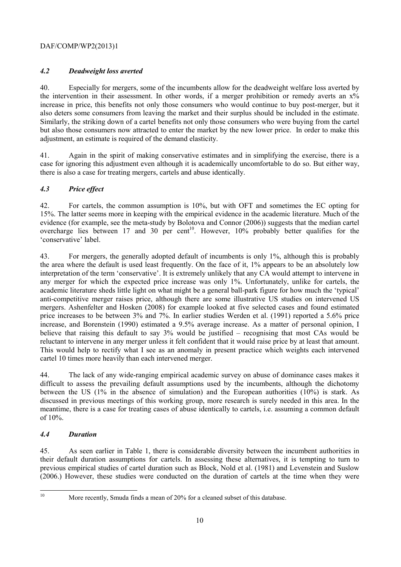# *4.2 Deadweight loss averted*

40. Especially for mergers, some of the incumbents allow for the deadweight welfare loss averted by the intervention in their assessment. In other words, if a merger prohibition or remedy averts an  $x\%$ increase in price, this benefits not only those consumers who would continue to buy post-merger, but it also deters some consumers from leaving the market and their surplus should be included in the estimate. Similarly, the striking down of a cartel benefits not only those consumers who were buying from the cartel but also those consumers now attracted to enter the market by the new lower price. In order to make this adjustment, an estimate is required of the demand elasticity.

41. Again in the spirit of making conservative estimates and in simplifying the exercise, there is a case for ignoring this adjustment even although it is academically uncomfortable to do so. But either way, there is also a case for treating mergers, cartels and abuse identically.

# *4.3 Price effect*

42. For cartels, the common assumption is 10%, but with OFT and sometimes the EC opting for 15%. The latter seems more in keeping with the empirical evidence in the academic literature. Much of the evidence (for example, see the meta-study by Bolotova and Connor (2006)) suggests that the median cartel overcharge lies between 17 and 30 per cent<sup>10</sup>. However,  $10\%$  probably better qualifies for the 'conservative' label.

43. For mergers, the generally adopted default of incumbents is only 1%, although this is probably the area where the default is used least frequently. On the face of it, 1% appears to be an absolutely low interpretation of the term 'conservative'. It is extremely unlikely that any CA would attempt to intervene in any merger for which the expected price increase was only 1%. Unfortunately, unlike for cartels, the academic literature sheds little light on what might be a general ball-park figure for how much the 'typical' anti-competitive merger raises price, although there are some illustrative US studies on intervened US mergers. Ashenfelter and Hosken (2008) for example looked at five selected cases and found estimated price increases to be between 3% and 7%. In earlier studies Werden et al. (1991) reported a 5.6% price increase, and Borenstein (1990) estimated a 9.5% average increase. As a matter of personal opinion, I believe that raising this default to say 3% would be justified – recognising that most CAs would be reluctant to intervene in any merger unless it felt confident that it would raise price by at least that amount. This would help to rectify what I see as an anomaly in present practice which weights each intervened cartel 10 times more heavily than each intervened merger.

44. The lack of any wide-ranging empirical academic survey on abuse of dominance cases makes it difficult to assess the prevailing default assumptions used by the incumbents, although the dichotomy between the US (1% in the absence of simulation) and the European authorities (10%) is stark. As discussed in previous meetings of this working group, more research is surely needed in this area. In the meantime, there is a case for treating cases of abuse identically to cartels, i.e. assuming a common default of 10%.

# *4.4 Duration*

45. As seen earlier in Table 1, there is considerable diversity between the incumbent authorities in their default duration assumptions for cartels. In assessing these alternatives, it is tempting to turn to previous empirical studies of cartel duration such as Block, Nold et al. (1981) and Levenstein and Suslow (2006.) However, these studies were conducted on the duration of cartels at the time when they were

 $10<sup>10</sup>$ 

More recently, Smuda finds a mean of 20% for a cleaned subset of this database.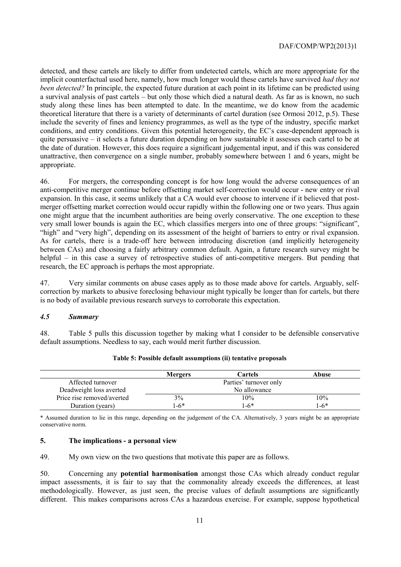detected, and these cartels are likely to differ from undetected cartels, which are more appropriate for the implicit counterfactual used here, namely, how much longer would these cartels have survived *had they not been detected?* In principle, the expected future duration at each point in its lifetime can be predicted using a survival analysis of past cartels – but only those which died a natural death. As far as is known, no such study along these lines has been attempted to date. In the meantime, we do know from the academic theoretical literature that there is a variety of determinants of cartel duration (see Ormosi 2012, p.5). These include the severity of fines and leniency programmes, as well as the type of the industry, specific market conditions, and entry conditions. Given this potential heterogeneity, the EC's case-dependent approach is quite persuasive – it selects a future duration depending on how sustainable it assesses each cartel to be at the date of duration. However, this does require a significant judgemental input, and if this was considered unattractive, then convergence on a single number, probably somewhere between 1 and 6 years, might be appropriate.

46. For mergers, the corresponding concept is for how long would the adverse consequences of an anti-competitive merger continue before offsetting market self-correction would occur - new entry or rival expansion. In this case, it seems unlikely that a CA would ever choose to intervene if it believed that postmerger offsetting market correction would occur rapidly within the following one or two years. Thus again one might argue that the incumbent authorities are being overly conservative. The one exception to these very small lower bounds is again the EC, which classifies mergers into one of three groups: "significant", "high" and "very high", depending on its assessment of the height of barriers to entry or rival expansion. As for cartels, there is a trade-off here between introducing discretion (and implicitly heterogeneity between CAs) and choosing a fairly arbitrary common default. Again, a future research survey might be helpful – in this case a survey of retrospective studies of anti-competitive mergers. But pending that research, the EC approach is perhaps the most appropriate.

47. Very similar comments on abuse cases apply as to those made above for cartels. Arguably, selfcorrection by markets to abusive foreclosing behaviour might typically be longer than for cartels, but there is no body of available previous research surveys to corroborate this expectation.

## *4.5 Summary*

48. Table 5 pulls this discussion together by making what I consider to be defensible conservative default assumptions. Needless to say, each would merit further discussion.

|                            | <b>Mergers</b> | Cartels                | Abuse |
|----------------------------|----------------|------------------------|-------|
| Affected turnover          |                | Parties' turnover only |       |
| Deadweight loss averted    | No allowance   |                        |       |
| Price rise removed/averted | 3%             | 10%                    | 10%   |
| Duration (years)           | $1-6*$         | $1-6*$                 | -6*1  |

#### **Table 5: Possible default assumptions (ii) tentative proposals**

\* Assumed duration to lie in this range, depending on the judgement of the CA. Alternatively, 3 years might be an appropriate conservative norm.

#### **5. The implications - a personal view**

49. My own view on the two questions that motivate this paper are as follows.

50. Concerning any **potential harmonisation** amongst those CAs which already conduct regular impact assessments, it is fair to say that the commonality already exceeds the differences, at least methodologically. However, as just seen, the precise values of default assumptions are significantly different. This makes comparisons across CAs a hazardous exercise. For example, suppose hypothetical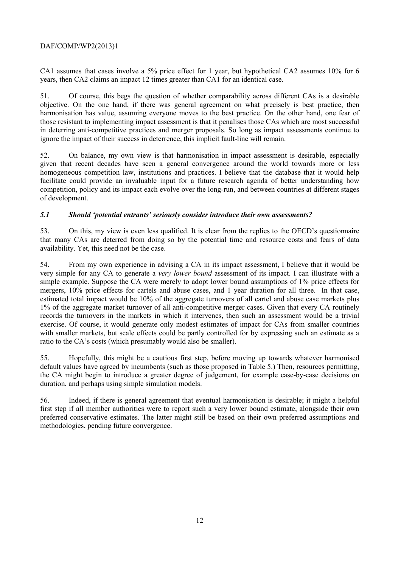CA1 assumes that cases involve a 5% price effect for 1 year, but hypothetical CA2 assumes 10% for 6 years, then CA2 claims an impact 12 times greater than CA1 for an identical case.

51. Of course, this begs the question of whether comparability across different CAs is a desirable objective. On the one hand, if there was general agreement on what precisely is best practice, then harmonisation has value, assuming everyone moves to the best practice. On the other hand, one fear of those resistant to implementing impact assessment is that it penalises those CAs which are most successful in deterring anti-competitive practices and merger proposals. So long as impact assessments continue to ignore the impact of their success in deterrence, this implicit fault-line will remain.

52. On balance, my own view is that harmonisation in impact assessment is desirable, especially given that recent decades have seen a general convergence around the world towards more or less homogeneous competition law, institutions and practices. I believe that the database that it would help facilitate could provide an invaluable input for a future research agenda of better understanding how competition, policy and its impact each evolve over the long-run, and between countries at different stages of development.

## *5.1 Should 'potential entrants' seriously consider introduce their own assessments?*

53. On this, my view is even less qualified. It is clear from the replies to the OECD's questionnaire that many CAs are deterred from doing so by the potential time and resource costs and fears of data availability. Yet, this need not be the case.

54. From my own experience in advising a CA in its impact assessment, I believe that it would be very simple for any CA to generate a *very lower bound* assessment of its impact. I can illustrate with a simple example. Suppose the CA were merely to adopt lower bound assumptions of 1% price effects for mergers, 10% price effects for cartels and abuse cases, and 1 year duration for all three. In that case, estimated total impact would be 10% of the aggregate turnovers of all cartel and abuse case markets plus 1% of the aggregate market turnover of all anti-competitive merger cases. Given that every CA routinely records the turnovers in the markets in which it intervenes, then such an assessment would be a trivial exercise. Of course, it would generate only modest estimates of impact for CAs from smaller countries with smaller markets, but scale effects could be partly controlled for by expressing such an estimate as a ratio to the CA's costs (which presumably would also be smaller).

55. Hopefully, this might be a cautious first step, before moving up towards whatever harmonised default values have agreed by incumbents (such as those proposed in Table 5.) Then, resources permitting, the CA might begin to introduce a greater degree of judgement, for example case-by-case decisions on duration, and perhaps using simple simulation models.

56. Indeed, if there is general agreement that eventual harmonisation is desirable; it might a helpful first step if all member authorities were to report such a very lower bound estimate, alongside their own preferred conservative estimates. The latter might still be based on their own preferred assumptions and methodologies, pending future convergence.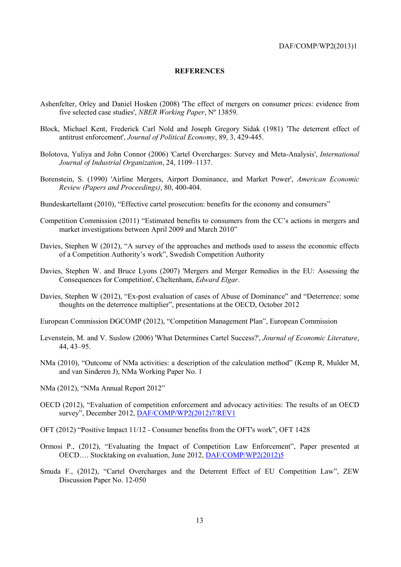#### **REFERENCES**

- Ashenfelter, Orley and Daniel Hosken (2008) 'The effect of mergers on consumer prices: evidence from five selected case studies', *NBER Working Paper*, Nº 13859.
- Block, Michael Kent, Frederick Carl Nold and Joseph Gregory Sidak (1981) 'The deterrent effect of antitrust enforcement', *Journal of Political Economy*, 89, 3, 429-445.
- Bolotova, Yuliya and John Connor (2006) 'Cartel Overcharges: Survey and Meta-Analysis', *International Journal of Industrial Organization*, 24, 1109–1137.
- Borenstein, S. (1990) 'Airline Mergers, Airport Dominance, and Market Power', *American Economic Review (Papers and Proceedings)*, 80, 400-404.
- Bundeskartellamt (2010), "Effective cartel prosecution: benefits for the economy and consumers"
- Competition Commission (2011) "Estimated benefits to consumers from the CC's actions in mergers and market investigations between April 2009 and March 2010"
- Davies, Stephen W (2012), "A survey of the approaches and methods used to assess the economic effects of a Competition Authority's work", Swedish Competition Authority
- Davies, Stephen W. and Bruce Lyons (2007) 'Mergers and Merger Remedies in the EU: Assessing the Consequences for Competition', Cheltenham, *Edward Elgar*.
- Davies, Stephen W (2012), "Ex-post evaluation of cases of Abuse of Dominance" and "Deterrence: some thoughts on the deterrence multiplier", presentations at the OECD, October 2012
- European Commission DGCOMP (2012), "Competition Management Plan", European Commission
- Levenstein, M. and V. Suslow (2006) 'What Determines Cartel Success?', *Journal of Economic Literature*, 44, 43–95.
- NMa (2010), "Outcome of NMa activities: a description of the calculation method" (Kemp R, Mulder M, and van Sinderen J), NMa Working Paper No. 1
- NMa (2012), "NMa Annual Report 2012"
- OECD (2012), "Evaluation of competition enforcement and advocacy activities: The results of an OECD survey", December 2012, DAF/COMP/WP2(2012)7/REV1
- OFT (2012) "Positive Impact 11/12 Consumer benefits from the OFT's work", OFT 1428
- Ormosi P., (2012), "Evaluating the Impact of Competition Law Enforcement", Paper presented at OECD…. Stocktaking on evaluation, June 2012, DAF/COMP/WP2(2012)5
- Smuda F., (2012), "Cartel Overcharges and the Deterrent Effect of EU Competition Law", ZEW Discussion Paper No. 12-050